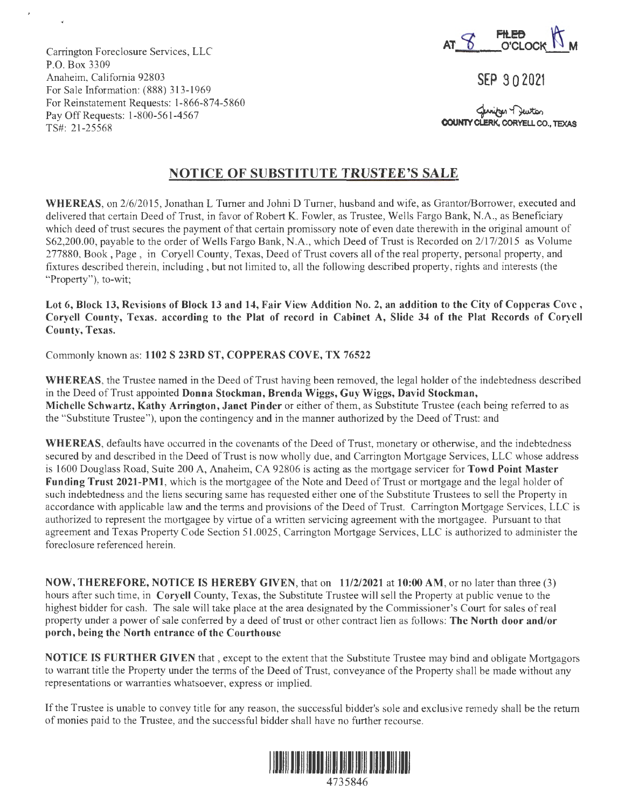

**SEP 9 0 2021** 

**COUNTY CLERK, CORYELL CO., TEXAS** 

Carrington Foreclosure Services, LLC P.O. Box 3309 Anaheim, California 92803 For Sale Information: (888) 313-1969 For Reinstatement Requests: 1-866-874-5860 Pay Off Requests: 1-800-561-4567 TS#: 21-25568

## **NOTICE OF SUBSTITUTE TRUSTEE'S SALE**

**WHEREAS,** on 2/6/2015, Jonathan L Turner and Johni D Turner, husband and wife, as Grantor/Borrower, executed and delivered that certain Deed of Trust, in favor of Robert K. Fowler, as Trustee, Wells Fargo Bank, N.A., as Beneficiary which deed of trust secures the payment of that certain promissory note of even date therewith in the original amount of \$62,200.00, payable to the order of Wells Fargo Bank, N.A., which Deed of Trust is Recorded on 2/17/2015 as Volume 277880, Book, Page, in Coryell County, Texas, Deed of Trust covers alI of the real property, personal property, and fixtures described therein, including , but not limited to, all the following described property, rights and interests (the "Property"), to-wit;

**Lot 6, Block 13, Revisions of Block 13 and 14, Fair View Addition No. 2, an addition to the City of Copperas Cove , Coryell County, Texas. according to the Plat of record in Cabinet A, Slide 34 of the Plat Records of Coryell County, Texas.** 

Commonly known as: **1102 S 23RD ST, COPPERAS COVE, TX 76522** 

**WHEREAS,** the Trustee named in the Deed of Trust having been removed, the legal holder of the indebtedness described in the Deed of Trust appointed **Donna Stockman, Brenda Wiggs, Guy Wiggs, David Stockman, Michelle Schwartz, Kathy Arrington, Janet Pinder** or either of them, as Substitute Trustee (each being referred to as the "Substitute Trustee"), upon the contingency and in the manner authorized by the Deed of Trust: and

**WHEREAS,** defaults have occurred in the covenants of the Deed of Trust, monetary or otherwise, and the indebtedness secured by and described in the Deed of Trust is now wholly due, and Carrington Mortgage Services, LLC whose address is 1600 Douglass Road, Suite 200 A, Anaheim, CA 92806 is acting as the mortgage servicer for **Towd Point Master Funding Trust 2021-PMl,** which is the mortgagee of the Note and Deed of Trust or mortgage and the legal holder of such indebtedness and the liens securing same has requested either one of the Substitute Trustees to sell the Property in accordance with applicable law and the terms and provisions of the Deed of Trust. Carrington Mortgage Services, LLC is authorized to represent the mortgagee by virtue of a written servicing agreement with the mortgagee. Pursuant to that agreement and Texas Property Code Section 51.0025, Carrington Mortgage Services, LLC is authorized to administer the foreclosure referenced herein.

**NOW, THEREFORE, NOTICE IS HEREBY GIVEN,** that on **11/2/2021 at 10:00 AM,** or no later than three (3) hours after such time, in **Coryell** County, Texas, the Substitute Trustee will sell the Property at public venue to the highest bidder for cash. The sale will take place at the area designated by the Commissioner's Court for sales of real property under a power of sale conferred by a deed of trust or other contract lien as follows: **The North door and/or porch, being the North entrance of the Courthouse** 

**NOTICE IS FURTHER GIVEN** that , except to the extent that the Substitute Trustee may bind and obligate Mortgagors to warrant title the Property under the terms of the Deed of Trust, conveyance of the Property shalI be made without any representations or warranties whatsoever, express or implied.

If the Trustee is unable to convey title for any reason, the successful bidder's sole and exclusive remedy shall be the return of monies paid to the Trustee, and the successful bidder shall have no further recourse.

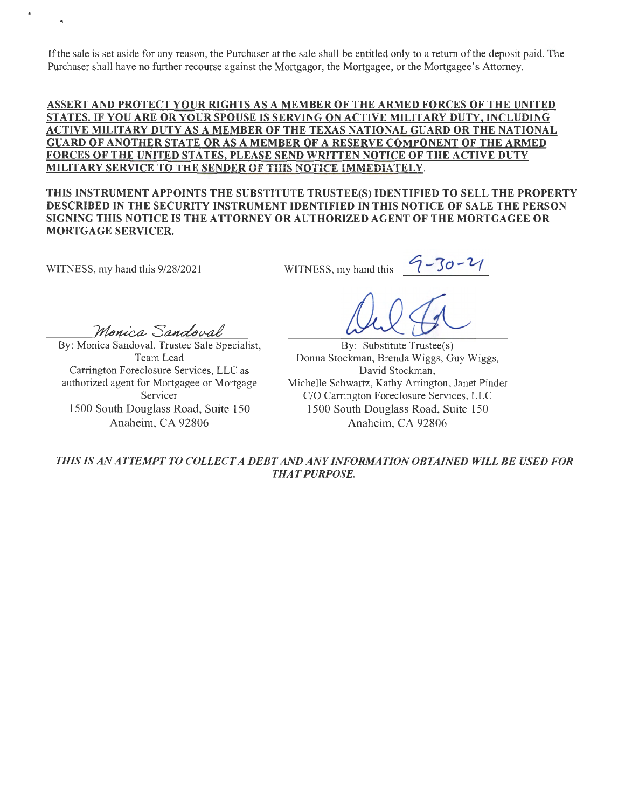If the sale is set aside for any reason, the Purchaser at the sale shall be entitled only to a return of the deposit paid. The Purchaser shall have no further recourse against the Mortgagor, the Mortgagee, or the Mortgagee's Attorney.

**ASSERT AND PROTECT YOUR RIGHTS AS A MEMBER OF THE ARMED FORCES OF THE UNITED STATES.** IF **YOU ARE OR YOUR SPOUSE IS SERVING ON ACTIVE MILITARY DUTY, INCLUDING ACTIVE MILITARY DUTY AS A MEMBER OF THE TEXAS NATIONAL GUARD OR THE NATIONAL GUARD OF ANOTHER STATE OR AS A MEMBER OF A RESERVE COMPONENT OF THE ARMED FORCES OF THE UNITED STATES, PLEASE SEND WRITTEN NOTICE OF THE ACTIVE DUTY MILITARY SERVICE TO THE SENDER OF THIS NOTICE IMMEDIATELY.** 

**THIS INSTRUMENT APPOINTS THE SUBSTITUTE TRUSTEE(S) IDENTIFIED TO SELL THE PROPERTY DESCRIBED IN THE SECURITY INSTRUMENT IDENTIFIED IN THIS NOTICE OF SALE THE PERSON SIGNING THIS NOTICE IS THE ATTORNEY OR AUTHORIZED AGENT OF THE MORTGAGEE OR MORTGAGE SERVICER.** 

WITNESS, my hand this 9/28/2021

By: Monica Sandoval, Trustee Sale Specialist, Team Lead Carrington Foreclosure Services, LLC as authorized agent for Mortgagee or Mortgage Servicer 1500 South Douglass Road, Suite 150 Anaheim, CA 92806

Monica Sandoval

WITNESS,  $my$  hand this

By: Substitute Trustee(s) Donna Stockman, Brenda Wiggs, Guy Wiggs, David Stockman, Michelle Schwartz, Kathy Arrington, Janet Pinder C/O Carrington Foreclosure Services, LLC 1500 South Douglass Road, Suite 150 Anaheim, CA 92806

*THIS IS AN ATTEMPT TO COLLECT A DEBT AND ANY INFORMATION OBTAINED WILL BE USED FOR THAT PURPOSE.*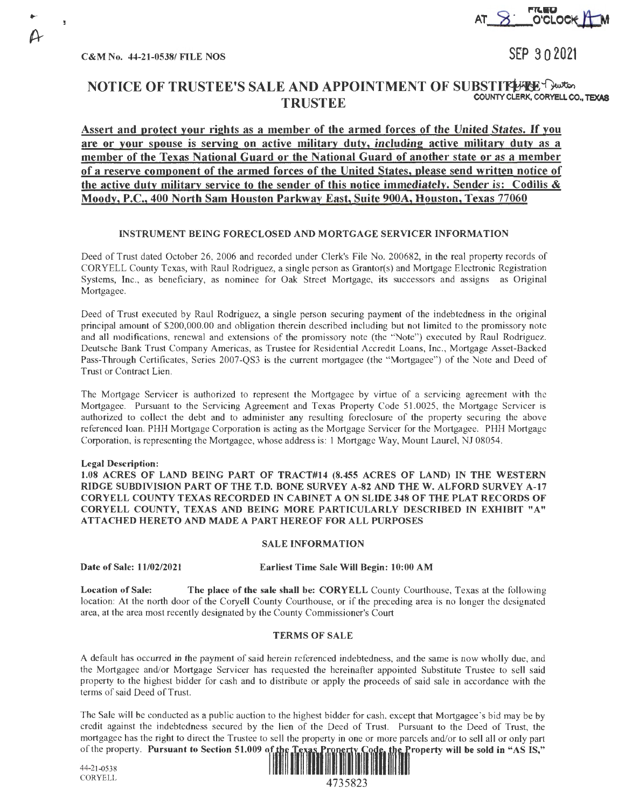C&M No. 44-21-0538/ FILE NOS

n

SEP 3 0 2021

# NOTICE OF TRUSTEE'S SALE AND APPOINTMENT OF SUBSTITITHER TRUSTEE COUNTY CLERK, CORYELL CO., TEXAS

**Assert and protect your rights as a member of the armed forces of the United States.** If you **are or your spouse is serving on active military duty, including active military duty as a member of the Texas National Guard or the National Guard of another state or as a member of a reserve component of the armed forces of the United States, please send written notice of the active duty military service to the sender of this notice immediately. Sender is: Codilis** & **Moody, P.C., 400 North Sam Houston Parkway East, Suite 900A, Houston, Texas 77060** 

### **INSTRUMENT BEING FORECLOSED AND MORTGAGE SERVICER INFORMATION**

Deed of Trust dated October 26, 2006 and recorded under Clerk's File No. 200682, in the real property records of CORYELL County Texas, with Raul Rodriguez, a single person as Grantor(s) and Mortgage Electronic Registration Systems, Inc., as beneficiary, as nominee for Oak Street Mortgage, its successors and assigns as Original Mortgagee.

Deed of Trust executed by Raul Rodriguez, a single person securing payment of the indebtedness in the original principal amount of \$200,000.00 and obligation therein described including but not limited to the promissory note and all modifications, renewal and extensions of the promissory note (the ''Note") executed by Raul Rodriguez. Deutsche Bank Trust Company Americas, as Trustee for Residential Accredit Loans, Inc. , Mortgage Asset-Backed Pass-Through Certificates, Series 2007-QS3 is the current mortgagee (the "Mortgagee") of the Note and Deed of Trust or Contract Lien.

The Mortgage Servicer is authorized to represent the Mortgagee by virtue of a servicing agreement with the Mortgagee. Pursuant to the Servicing Agreement and Texas Property Code 51.0025, the Mortgage Servicer is authorized to collect the debt and to administer any resulting foreclosure of the property securing the above referenced loan. PHH Mortgage Corporation is acting as the Mortgage Servicer for the Mortgagee. PHH Mortgage Corporation, is representing the Mortgagee, whose address is: 1 Mortgage Way, Mount Laurel, NJ 08054.

### **Legal Description:**

**1.08 ACRES OF LAND BEING PART OF TRACT#14 (8.455 ACRES OF LAND)** IN **THE WESTERN RIDGE SUBDIVISION PART OF THE T.D. BONE SURVEY A-82 AND THEW. ALFORD SURVEY A-17 CORYELL COUNTY TEXAS RECORDED** IN **CABINET A ON SLIDE 348 OF THE PLAT RECORDS OF CORYELL COUNTY, TEXAS AND BEING MORE PARTICULARLY DESCRIBED** IN **EXHIBIT "A" ATTACHED HERETO AND MADE A PART HEREOF FOR ALL PURPOSES** 

### **SALE INFORMATION**

**Date of Sale: 11/02/2021 Earliest Time Sale Will Begin: 10:00 AM** 

**Location of Sale: The place of the sale shall be: CORYELL** County Courthouse, Texas at the following location: At the north door of the Coryell County Courthouse, or if the preceding area is no longer the designated area, at the area most recently designated by the County Commissioner's Court

### **TERMS OF SALE**

A default has occurred in the payment of said herein referenced indebtedness, and the same is now wholly due, and the Mortgagee and/or Mortgage Servicer has requested the hereinafter appointed Substitute Trustee to sell said property to the highest bidder for cash and to distribute or apply the proceeds of said sale in accordance with the terms of said Deed of Trust.

The Sale will be conducted as a public auction to the highest bidder for cash, except that Mortgagee's bid may be by credit against the indebtedness secured by the lien of the Deed of Trust. Pursuant to the Deed of Trust, the mortgagee has the right to direct the Trustee to sell the property in one or more parcels and/or to sell all or only part of the property. Pursuant to Section 51.009 of the Texas Property Code, the Property will be sold in of the property. Pursuant to Section 51.009 of the Texas Property Code, the  $44-21-0538$ 

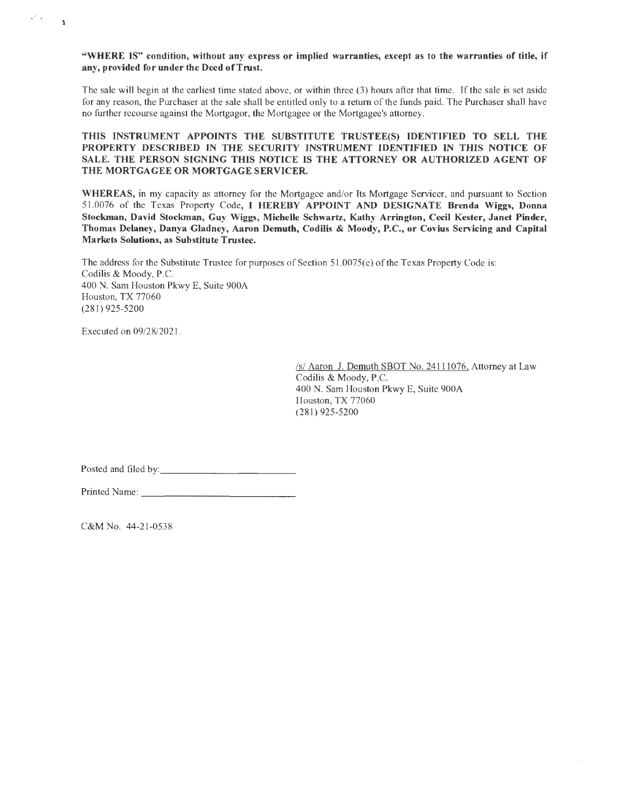**"WHERE IS" condition, without any express or implied warranties, except as to the warranties of title, if any, provided for under the Deed of Trust.** 

The sale will begin at the earliest time stated above, or within three (3) hours after that time. If the sale is set aside for any reason, the Purchaser at the sale shall be entitled only to a return of the funds paid. The Purchaser shall have no further recourse against the Mortgagor, the Mortgagee or the Mortgagee's attorney.

**THIS INSTRUMENT APPOINTS THE SUBSTITUTE TRUSTEE(S) IDENTIFIED TO SELL THE PROPERTY DESCRIBED** IN **THE SECURITY INSTRUMENT IDENTIFIED** IN **THIS NOTICE OF SALE. THE PERSON SIGNING THIS NOTICE IS THE ATTORNEY OR AUTHORIZED AGENT OF THE MORTGAGEE OR MORTGAGE SERVICER.** 

**WHEREAS,** in my capacity as attorney for the Mortgagee and/or Its Mortgage Servicer, and pursuant to Section 51.0076 of the Texas Property Code, I **HEREBY APPOINT AND DESIGNATE Brenda Wiggs, Donna Stockman, David Stockman, Guy Wiggs, Michelle Schwartz, Kathy Arrington, Cecil Kester, Janet Pinder, Thomas Delaney, Danya Gladney, Aaron Demuth, Codilis** & **Moody, P.C., or Covius Servicing and Capital Markets Solutions, as Substitute Trustee.** 

The address for the Substitute Trustee for purposes of Section 51.0075(e) of the Texas Property Code is: Codilis & Moody, P.C. 400 N. Sam Houston Pkwy E, Suite 900A Houston, TX 77060 (281) 925-5200

Executed on 09128/2021.

 $\omega^{\rm eff}$  .

 $\ddot{\mathbf{r}}$ 

*Isl* Aaron J. Demuth SBOT No. 241 11076, Attorney at Law Codilis & Moody, P.C. 400 N. Sam Houston Pkwy E, Suite 900A Houston, TX 77060 (281) 925-5200

Posted and filed by: \_\_\_\_\_\_\_\_\_\_\_ \_

Printed Name: -------------

C&MNo. 44-21-0538